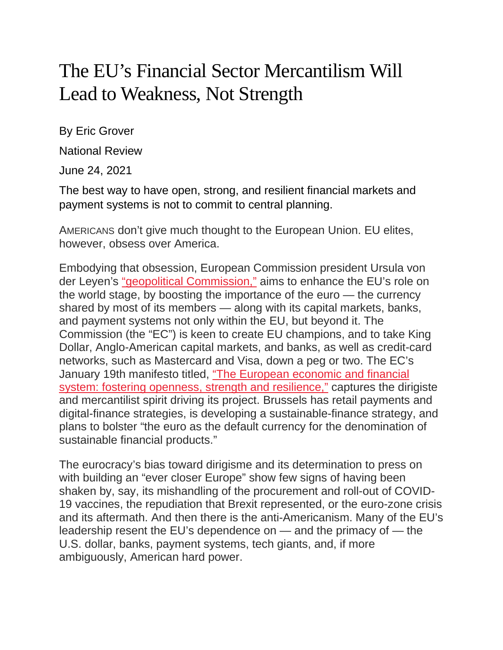## The EU's Financial Sector Mercantilism Will Lead to Weakness, Not Strength

By Eric Grover

National Review

June 24, 2021

The best way to have open, strong, and resilient financial markets and payment systems is not to commit to central planning.

AMERICANS don't give much thought to the European Union. EU elites, however, obsess over America.

Embodying that obsession, European Commission president Ursula von der Leyen's "geopolitical [Commission,"](https://ec.europa.eu/international-partnerships/stories/geopolitical-commission-builds-international-partnerships_en) aims to enhance the EU's role on the world stage, by boosting the importance of the euro — the currency shared by most of its members — along with its capital markets, banks, and payment systems not only within the EU, but beyond it. The Commission (the "EC") is keen to create EU champions, and to take King Dollar, Anglo-American capital markets, and banks, as well as credit-card networks, such as Mastercard and Visa, down a peg or two. The EC's January 19th manifesto titled, "The [European](https://eur-lex.europa.eu/legal-content/EN/TXT/PDF/?uri=CELEX:52021DC0032&from=EN) economic and financial system: fostering openness, strength and [resilience,"](https://eur-lex.europa.eu/legal-content/EN/TXT/PDF/?uri=CELEX:52021DC0032&from=EN) captures the dirigiste and mercantilist spirit driving its project. Brussels has retail payments and digital-finance strategies, is developing a sustainable-finance strategy, and plans to bolster "the euro as the default currency for the denomination of sustainable financial products."

The eurocracy's bias toward dirigisme and its determination to press on with building an "ever closer Europe" show few signs of having been shaken by, say, its mishandling of the procurement and roll-out of COVID-19 vaccines, the repudiation that Brexit represented, or the euro-zone crisis and its aftermath. And then there is the anti-Americanism. Many of the EU's leadership resent the EU's dependence on — and the primacy of — the U.S. dollar, banks, payment systems, tech giants, and, if more ambiguously, American hard power.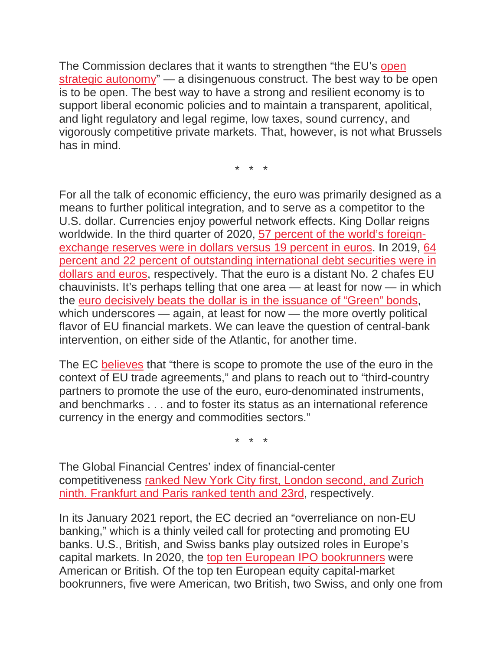The Commission declares that it wants to strengthen "the EU's [open](https://ec.europa.eu/commission/presscorner/detail/en/qanda_21_645) strategic [autonomy"](https://ec.europa.eu/commission/presscorner/detail/en/qanda_21_645) — a disingenuous construct. The best way to be open is to be open. The best way to have a strong and resilient economy is to support liberal economic policies and to maintain a transparent, apolitical, and light regulatory and legal regime, low taxes, sound currency, and vigorously competitive private markets. That, however, is not what Brussels has in mind.

\* \* \*

For all the talk of economic efficiency, the euro was primarily designed as a means to further political integration, and to serve as a competitor to the U.S. dollar. Currencies enjoy powerful network effects. King Dollar reigns worldwide. In the third quarter of 2020, 57 percent of the world's [foreign](https://data.imf.org/?sk=E6A5F467-C14B-4AA8-9F6D-5A09EC4E62A4)[exchange](https://data.imf.org/?sk=E6A5F467-C14B-4AA8-9F6D-5A09EC4E62A4) reserves were in dollars versus 19 percent in euros. In 2019, [64](https://www.ecb.europa.eu/pub/ire/html/ecb.ire202006%7E81495c263a.en.html) percent and 22 percent of outstanding [international](https://www.ecb.europa.eu/pub/ire/html/ecb.ire202006%7E81495c263a.en.html) debt securities were in [dollars](https://www.ecb.europa.eu/pub/ire/html/ecb.ire202006%7E81495c263a.en.html) and euros, respectively. That the euro is a distant No. 2 chafes EU chauvinists. It's perhaps telling that one area — at least for now — in which the euro [decisively](https://www.barrons.com/news/euro-top-currency-for-green-bonds-ecb-01591691103) beats the dollar is in the issuance of "Green" bonds, which underscores — again, at least for now — the more overtly political flavor of EU financial markets. We can leave the question of central-bank intervention, on either side of the Atlantic, for another time.

The EC [believes](https://ec.europa.eu/commission/presscorner/detail/en/ip_21_108) that "there is scope to promote the use of the euro in the context of EU trade agreements," and plans to reach out to "third-country partners to promote the use of the euro, euro-denominated instruments, and benchmarks . . . and to foster its status as an international reference currency in the energy and commodities sectors."

\* \* \*

The Global Financial Centres' index of financial-center competitiveness ranked New York City first, London [second,](https://globalfinancialcentres.net/explore/) and Zurich ninth. [Frankfurt](https://globalfinancialcentres.net/explore/) and Paris ranked tenth and 23rd, respectively.

In its January 2021 report, the EC decried an "overreliance on non-EU banking," which is a thinly veiled call for protecting and promoting EU banks. U.S., British, and Swiss banks play outsized roles in Europe's capital markets. In 2020, the top ten European IPO [bookrunners](http://graphics.wsj.com/investment-banking-scorecard/) were American or British. Of the top ten European equity capital-market bookrunners, five were American, two British, two Swiss, and only one from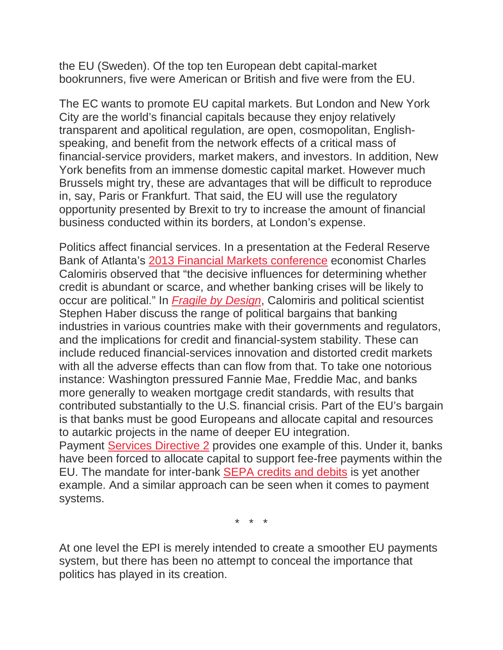the EU (Sweden). Of the top ten European debt capital-market bookrunners, five were American or British and five were from the EU.

The EC wants to promote EU capital markets. But London and New York City are the world's financial capitals because they enjoy relatively transparent and apolitical regulation, are open, cosmopolitan, Englishspeaking, and benefit from the network effects of a critical mass of financial-service providers, market makers, and investors. In addition, New York benefits from an immense domestic capital market. However much Brussels might try, these are advantages that will be difficult to reproduce in, say, Paris or Frankfurt. That said, the EU will use the regulatory opportunity presented by Brexit to try to increase the amount of financial business conducted within its borders, at London's expense.

Politics affect financial services. In a presentation at the Federal Reserve Bank of Atlanta's 2013 Financial Markets [conference](https://www.atlantafed.org/-/media/documents/news/conferences/2013/fmc/13fmccalomiris.pdf) economist Charles Calomiris observed that "the decisive influences for determining whether credit is abundant or scarce, and whether banking crises will be likely to occur are political." In *Fragile by [Design](https://www.amazon.com/Fragile-Design-Political-Princeton-Economic/dp/0691155240)*, Calomiris and political scientist Stephen Haber discuss the range of political bargains that banking industries in various countries make with their governments and regulators, and the implications for credit and financial-system stability. These can include reduced financial-services innovation and distorted credit markets with all the adverse effects than can flow from that. To take one notorious instance: Washington pressured Fannie Mae, Freddie Mac, and banks more generally to weaken mortgage credit standards, with results that contributed substantially to the U.S. financial crisis. Part of the EU's bargain is that banks must be good Europeans and allocate capital and resources to autarkic projects in the name of deeper EU integration. Payment Services [Directive](https://ec.europa.eu/info/law/payment-services-psd-2-directive-eu-2015-2366_en) 2 provides one example of this. Under it, banks have been forced to allocate capital to support fee-free payments within the EU. The mandate for inter-bank SEPA [credits](https://www.europeanpaymentscouncil.eu/what-we-do/sepa-credit-transfer) and debits is yet another example. And a similar approach can be seen when it comes to payment systems.

\* \* \*

At one level the EPI is merely intended to create a smoother EU payments system, but there has been no attempt to conceal the importance that politics has played in its creation.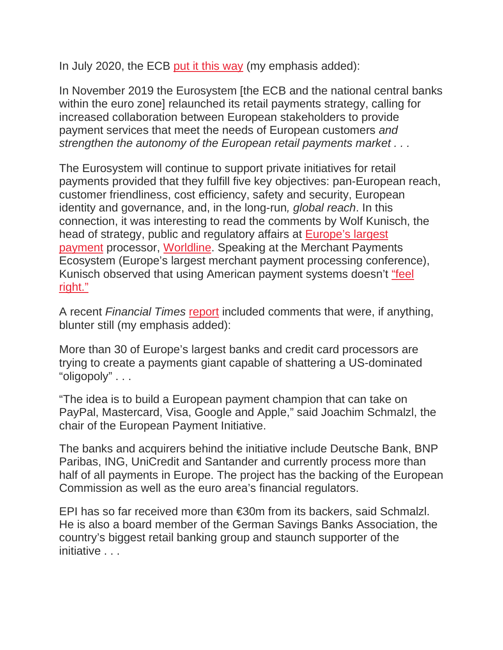In July 2020, the ECB put it this [way](https://www.ecb.europa.eu/press/pr/date/2020/html/ecb.pr200702%7E214c52c76b.en.html) (my emphasis added):

In November 2019 the Eurosystem [the ECB and the national central banks within the euro zone] relaunched its retail payments strategy, calling for increased collaboration between European stakeholders to provide payment services that meet the needs of European customers *and strengthen the autonomy of the European retail payments market . . .*

The Eurosystem will continue to support private initiatives for retail payments provided that they fulfill five key objectives: pan-European reach, customer friendliness, cost efficiency, safety and security, European identity and governance, and, in the long-run*, global reach*. In this connection, it was interesting to read the comments by Wolf Kunisch, the head of strategy, public and regulatory affairs at [Europe's](https://www.globenewswire.com/news-release/2020/10/30/2117573/0/en/Worldline-welcomes-Ingenico-creating-a-new-world-class-leader-in-payment-services.html#:%7E:text=Worldline%20is%20the%20largest%20European,growth%20wherever%20they%20are%20located.) largest [payment](https://www.globenewswire.com/news-release/2020/10/30/2117573/0/en/Worldline-welcomes-Ingenico-creating-a-new-world-class-leader-in-payment-services.html#:%7E:text=Worldline%20is%20the%20largest%20European,growth%20wherever%20they%20are%20located.) processor, [Worldline.](https://worldline.com/) Speaking at the Merchant Payments Ecosystem (Europe's largest merchant payment processing conference), Kunisch observed that using American payment systems doesn't ["feel](https://next.brella.io/events/MPE2021/schedule/261648) [right."](https://next.brella.io/events/MPE2021/schedule/261648)

A recent *Financial Times* [report](https://www.ft.com/content/f274255d-eb96-44fe-90e9-fe5532cc47ac) included comments that were, if anything, blunter still (my emphasis added):

More than 30 of Europe's largest banks and credit card processors are trying to create a payments giant capable of shattering a US-dominated "oligopoly" . . .

"The idea is to build a European payment champion that can take on PayPal, Mastercard, Visa, Google and Apple," said Joachim Schmalzl, the chair of the European Payment Initiative.

The banks and acquirers behind the initiative include Deutsche Bank, BNP Paribas, ING, UniCredit and Santander and currently process more than half of all payments in Europe. The project has the backing of the European Commission as well as the euro area's financial regulators.

EPI has so far received more than €30m from its backers, said Schmalzl. He is also a board member of the German Savings Banks Association, the country's biggest retail banking group and staunch supporter of the initiative . . .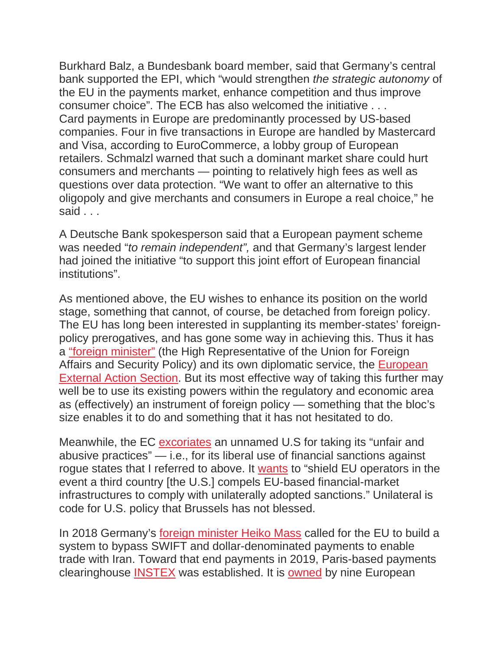Burkhard Balz, a Bundesbank board member, said that Germany's central bank supported the EPI, which "would strengthen *the strategic autonomy* of the EU in the payments market, enhance competition and thus improve consumer choice". The ECB has also welcomed the initiative . . . Card payments in Europe are predominantly processed by US-based companies. Four in five transactions in Europe are handled by Mastercard and Visa, according to EuroCommerce, a lobby group of European retailers. Schmalzl warned that such a dominant market share could hurt consumers and merchants — pointing to relatively high fees as well as questions over data protection. "We want to offer an alternative to this oligopoly and give merchants and consumers in Europe a real choice," he said . . .

A Deutsche Bank spokesperson said that a European payment scheme was needed "*to remain independent",* and that Germany's largest lender had joined the initiative "to support this joint effort of European financial institutions".

As mentioned above, the EU wishes to enhance its position on the world stage, something that cannot, of course, be detached from foreign policy. The EU has long been interested in supplanting its member-states' foreignpolicy prerogatives, and has gone some way in achieving this. Thus it has a "foreign [minister"](https://en.wikipedia.org/wiki/High_Representative_of_the_Union_for_Foreign_Affairs_and_Security_Policy) (the High Representative of the Union for Foreign Affairs and Security Policy) and its own diplomatic service, the [European](https://en.wikipedia.org/wiki/European_External_Action_Service) [External](https://en.wikipedia.org/wiki/European_External_Action_Service) Action Section. But its most effective way of taking this further may well be to use its existing powers within the regulatory and economic area as (effectively) an instrument of foreign policy — something that the bloc's size enables it to do and something that it has not hesitated to do.

Meanwhile, the EC [excoriates](https://eur-lex.europa.eu/legal-content/EN/TXT/HTML/?uri=CELEX:52021DC0032&rid=6) an unnamed U.S for taking its "unfair and abusive practices" — i.e., for its liberal use of financial sanctions against rogue states that I referred to above. It [wants](https://www.reuters.com/article/us-eu-finance/eu-seeks-to-cut-reliance-on-u-s-dollar-other-financial-centres-idUSKBN29O1ZI) to "shield EU operators in the event a third country [the U.S.] compels EU-based financial-market infrastructures to comply with unilaterally adopted sanctions." Unilateral is code for U.S. policy that Brussels has not blessed.

In 2018 Germany's foreign [minister](https://www.cnbc.com/2018/08/22/defending-iran-deal-germany-looks-to-bypass-us-payment-channels.html) Heiko Mass called for the EU to build a system to bypass SWIFT and dollar-denominated payments to enable trade with Iran. Toward that end payments in 2019, Paris-based payments clearinghouse [INSTEX](https://instex-europe.com/about-us/) was established. It is [owned](https://instex-europe.com/about-us/) by nine European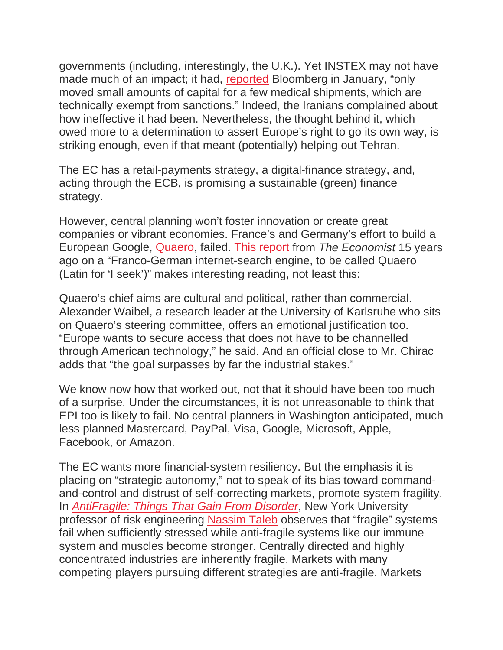governments (including, interestingly, the U.K.). Yet INSTEX may not have made much of an impact; it had, [reported](https://www.bloomberg.com/news/articles/2021-01-17/iran-rebukes-eu-on-trade-channel-set-up-to-avoid-u-s-sanctions?sref=KgEBWdKh) Bloomberg in January, "only moved small amounts of capital for a few medical shipments, which are technically exempt from sanctions." Indeed, the Iranians complained about how ineffective it had been. Nevertheless, the thought behind it, which owed more to a determination to assert Europe's right to go its own way, is striking enough, even if that meant (potentially) helping out Tehran.

The EC has a retail-payments strategy, a digital-finance strategy, and, acting through the ECB, is promising a sustainable (green) finance strategy.

However, central planning won't foster innovation or create great companies or vibrant economies. France's and Germany's effort to build a European Google, [Quaero,](https://en.wikipedia.org/wiki/Quaero) failed. This [report](https://www.economist.com/technology-quarterly/2006/03/11/attack-of-the-eurogoogle) from *The Economist* 15 years ago on a "Franco-German internet-search engine, to be called Quaero (Latin for 'I seek')" makes interesting reading, not least this:

Quaero's chief aims are cultural and political, rather than commercial. Alexander Waibel, a research leader at the University of Karlsruhe who sits on Quaero's steering committee, offers an emotional justification too. "Europe wants to secure access that does not have to be channelled through American technology," he said. And an official close to Mr. Chirac adds that "the goal surpasses by far the industrial stakes."

We know now how that worked out, not that it should have been too much of a surprise. Under the circumstances, it is not unreasonable to think that EPI too is likely to fail. No central planners in Washington anticipated, much less planned Mastercard, PayPal, Visa, Google, Microsoft, Apple, Facebook, or Amazon.

The EC wants more financial-system resiliency. But the emphasis it is placing on "strategic autonomy," not to speak of its bias toward commandand-control and distrust of self-correcting markets, promote system fragility. In *[AntiFragile:](https://www.amazon.com/dp/1400067820/?tag=mh0b-20&hvadid=77721781371872&hvqmt=e&hvbmt=be&hvdev=c&ref=pd_sl_u8u87bpbz_e) Things That Gain From Disorder*, New York University professor of risk engineering [Nassim](https://en.wikipedia.org/wiki/Nassim_Nicholas_Taleb) Taleb observes that "fragile" systems fail when sufficiently stressed while anti-fragile systems like our immune system and muscles become stronger. Centrally directed and highly concentrated industries are inherently fragile. Markets with many competing players pursuing different strategies are anti-fragile. Markets